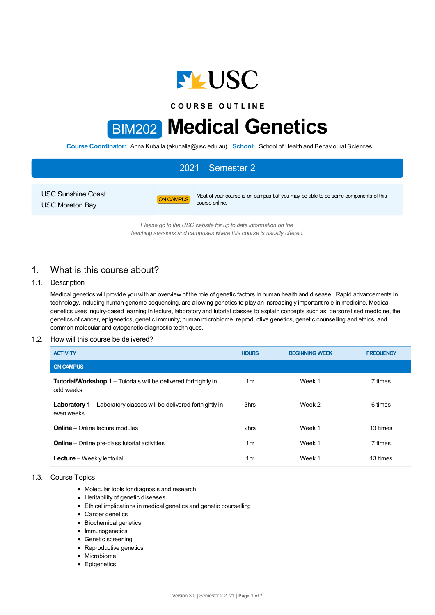

**C O U R S E O U T L I N E**

# BIM202 **Medical Genetics**

**Course Coordinator:** Anna Kuballa (akuballa@usc.edu.au) **School:** School of Health and Behavioural Sciences

# 2021 Semester 2

USC Sunshine Coast USC Moreton Bay

ON CAMPUS Most of your course is on campus but you may be able to do some components of this course online.

*Please go to the USC website for up to date information on the teaching sessions and campuses where this course is usually offered.*

# 1. What is this course about?

## 1.1. Description

Medical genetics will provide you with an overview of the role of genetic factors in human health and disease. Rapid advancements in technology, including human genome sequencing, are allowing genetics to play an increasingly important role in medicine. Medical genetics uses inquiry-based learning in lecture, laboratory and tutorial classes to explain concepts such as: personalised medicine, the genetics of cancer, epigenetics, genetic immunity, human microbiome, reproductive genetics, genetic counselling and ethics, and common molecular and cytogenetic diagnostic techniques.

## 1.2. How will this course be delivered?

| <b>ACTIVITY</b>                                                                      | <b>HOURS</b> | <b>BEGINNING WEEK</b> | <b>FREQUENCY</b> |
|--------------------------------------------------------------------------------------|--------------|-----------------------|------------------|
| <b>ON CAMPUS</b>                                                                     |              |                       |                  |
| <b>Tutorial/Workshop 1</b> – Tutorials will be delivered fortnightly in<br>odd weeks | 1hr          | Week 1                | 7 times          |
| Laboratory 1 - Laboratory classes will be delivered fortnightly in<br>even weeks.    | 3hrs         | Week 2                | 6 times          |
| <b>Online</b> – Online lecture modules                                               | 2hrs         | Week 1                | 13 times         |
| <b>Online</b> – Online pre-class tutorial activities                                 | 1hr          | Week 1                | 7 times          |
| <b>Lecture</b> – Weekly lectorial                                                    | 1hr          | Week 1                | 13 times         |

## 1.3. Course Topics

- Molecular tools for diagnosis and research
- Heritability of genetic diseases
- Ethical implications in medical genetics and genetic counselling
- Cancer genetics
- Biochemical genetics
- Immunogenetics
- Genetic screening
- Reproductive genetics
- Microbiome
- Epigenetics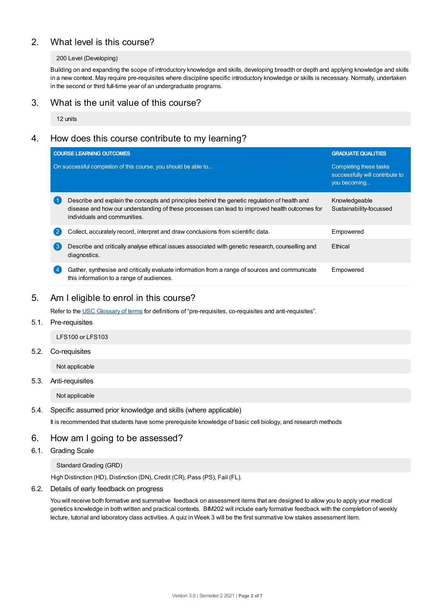# 2. What level is this course?

## 200 Level (Developing)

Building on and expanding the scope of introductory knowledge and skills, developing breadth or depth and applying knowledge and skills in a new context. May require pre-requisites where discipline specific introductory knowledge or skills is necessary. Normally, undertaken in the second or third full-time year of an undergraduate programs.

## 3. What is the unit value of this course?

12 units

# 4. How does this course contribute to my learning?

|   | <b>COURSE LEARNING OUTCOMES</b>                                                                                                                                                                                               | <b>GRADUATE QUALITIES</b>                                                 |
|---|-------------------------------------------------------------------------------------------------------------------------------------------------------------------------------------------------------------------------------|---------------------------------------------------------------------------|
|   | On successful completion of this course, you should be able to                                                                                                                                                                | Completing these tasks<br>successfully will contribute to<br>you becoming |
|   | Describe and explain the concepts and principles behind the genetic regulation of health and<br>disease and how our understanding of these processes can lead to improved health outcomes for<br>individuals and communities. | Knowledgeable<br>Sustainability-focussed                                  |
|   | Collect, accurately record, interpret and draw conclusions from scientific data.                                                                                                                                              | Empowered                                                                 |
| 3 | Describe and critically analyse ethical issues associated with genetic research, counselling and<br>diagnostics.                                                                                                              | Ethical                                                                   |
|   | Gather, synthesise and critically evaluate information from a range of sources and communicate<br>this information to a range of audiences.                                                                                   | Empowered                                                                 |

# 5. Am Ieligible to enrol in this course?

Refer to the USC [Glossary](https://www.usc.edu.au/about/policies-and-procedures/glossary-of-terms-for-policy-and-procedures) of terms for definitions of "pre-requisites, co-requisites and anti-requisites".

## 5.1. Pre-requisites

LFS100 or LFS103

#### 5.2. Co-requisites

Not applicable

## 5.3. Anti-requisites

Not applicable

#### 5.4. Specific assumed prior knowledge and skills (where applicable)

It is recommended that students have some prerequisite knowledge of basic cell biology, and research methods

## 6. How am Igoing to be assessed?

## 6.1. Grading Scale

Standard Grading (GRD)

High Distinction (HD), Distinction (DN), Credit (CR), Pass (PS), Fail (FL).

#### 6.2. Details of early feedback on progress

You will receive both formative and summative feedback on assessment items that are designed to allow you to apply your medical genetics knowledge in both written and practical contexts. BIM202 will include early formative feedback with the completion of weekly lecture, tutorial and laboratory class activities. A quiz in Week 3 will be the first summative low stakes assessment item.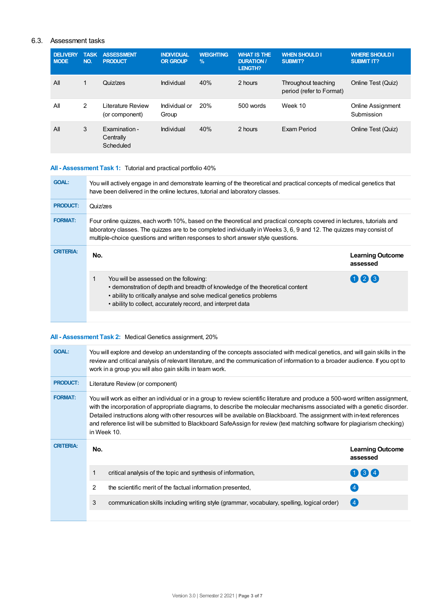## 6.3. Assessment tasks

| <b>DELIVERY</b><br><b>NODE</b> | <b>TASK</b><br>NO. | <b>ASSESSMENT</b><br><b>PRODUCT</b>           | <b>INDIVIDUAL</b><br><b>OR GROUP</b> | <b>WEIGHTING</b><br>$\frac{9}{6}$ | <b>WHAT IS THE</b><br><b>DURATION /</b><br><b>LENGTH?</b> | <b>WHEN SHOULD I</b><br>SUBMIT?                 | <b>WHERE SHOULD I</b><br><b>SUBMIT IT?</b> |
|--------------------------------|--------------------|-----------------------------------------------|--------------------------------------|-----------------------------------|-----------------------------------------------------------|-------------------------------------------------|--------------------------------------------|
| All                            | 1                  | Quiz/zes                                      | Individual                           | 40%                               | 2 hours                                                   | Throughout teaching<br>period (refer to Format) | Online Test (Quiz)                         |
| All                            | 2                  | Literature Review<br>(or component)           | Individual or<br>Group               | 20%                               | 500 words                                                 | Week 10                                         | Online Assignment<br>Submission            |
| All                            | 3                  | <b>Examination-</b><br>Centrally<br>Scheduled | Individual                           | 40%                               | 2 hours                                                   | <b>Fxam Period</b>                              | Online Test (Quiz)                         |

# **All - Assessment Task 1:** Tutorial and practical portfolio 40%

| <b>GOAL:</b>     | You will actively engage in and demonstrate learning of the theoretical and practical concepts of medical genetics that<br>have been delivered in the online lectures, tutorial and laboratory classes.                                                                                                                             |                                     |
|------------------|-------------------------------------------------------------------------------------------------------------------------------------------------------------------------------------------------------------------------------------------------------------------------------------------------------------------------------------|-------------------------------------|
| <b>PRODUCT:</b>  | Quiz/zes                                                                                                                                                                                                                                                                                                                            |                                     |
| <b>FORMAT:</b>   | Four online quizzes, each worth 10%, based on the theoretical and practical concepts covered in lectures, tutorials and<br>laboratory classes. The quizzes are to be completed individually in Weeks 3, 6, 9 and 12. The quizzes may consist of<br>multiple-choice questions and written responses to short answer style questions. |                                     |
| <b>CRITERIA:</b> | No.                                                                                                                                                                                                                                                                                                                                 | <b>Learning Outcome</b><br>assessed |
|                  | You will be assessed on the following:<br>• demonstration of depth and breadth of knowledge of the theoretical content<br>• ability to critically analyse and solve medical genetics problems<br>• ability to collect, accurately record, and interpret data                                                                        | 026                                 |
|                  |                                                                                                                                                                                                                                                                                                                                     |                                     |

# **All - Assessment Task 2:** Medical Genetics assignment, 20%

| <b>GOAL:</b>     |                                                                                                                                                                                                                                                                                                                                                                                                                                                                                                                                    | You will explore and develop an understanding of the concepts associated with medical genetics, and will gain skills in the<br>review and critical analysis of relevant literature, and the communication of information to a broader audience. If you opt to<br>work in a group you will also gain skills in team work. |                                     |  |  |  |
|------------------|------------------------------------------------------------------------------------------------------------------------------------------------------------------------------------------------------------------------------------------------------------------------------------------------------------------------------------------------------------------------------------------------------------------------------------------------------------------------------------------------------------------------------------|--------------------------------------------------------------------------------------------------------------------------------------------------------------------------------------------------------------------------------------------------------------------------------------------------------------------------|-------------------------------------|--|--|--|
| <b>PRODUCT:</b>  | Literature Review (or component)                                                                                                                                                                                                                                                                                                                                                                                                                                                                                                   |                                                                                                                                                                                                                                                                                                                          |                                     |  |  |  |
| <b>FORMAT:</b>   | You will work as either an individual or in a group to review scientific literature and produce a 500-word written assignment,<br>with the incorporation of appropriate diagrams, to describe the molecular mechanisms associated with a genetic disorder.<br>Detailed instructions along with other resources will be available on Blackboard. The assignment with in-text references<br>and reference list will be submitted to Blackboard SafeAssign for review (text matching software for plagiarism checking)<br>in Week 10. |                                                                                                                                                                                                                                                                                                                          |                                     |  |  |  |
| <b>CRITERIA:</b> | No.                                                                                                                                                                                                                                                                                                                                                                                                                                                                                                                                |                                                                                                                                                                                                                                                                                                                          | <b>Learning Outcome</b><br>assessed |  |  |  |
|                  |                                                                                                                                                                                                                                                                                                                                                                                                                                                                                                                                    | critical analysis of the topic and synthesis of information,                                                                                                                                                                                                                                                             | $(1)$ $(3)$ $(4)$                   |  |  |  |
|                  | 2                                                                                                                                                                                                                                                                                                                                                                                                                                                                                                                                  | the scientific merit of the factual information presented.                                                                                                                                                                                                                                                               |                                     |  |  |  |
|                  | 3                                                                                                                                                                                                                                                                                                                                                                                                                                                                                                                                  | communication skills including writing style (grammar, vocabulary, spelling, logical order)                                                                                                                                                                                                                              | (4)                                 |  |  |  |
|                  |                                                                                                                                                                                                                                                                                                                                                                                                                                                                                                                                    |                                                                                                                                                                                                                                                                                                                          |                                     |  |  |  |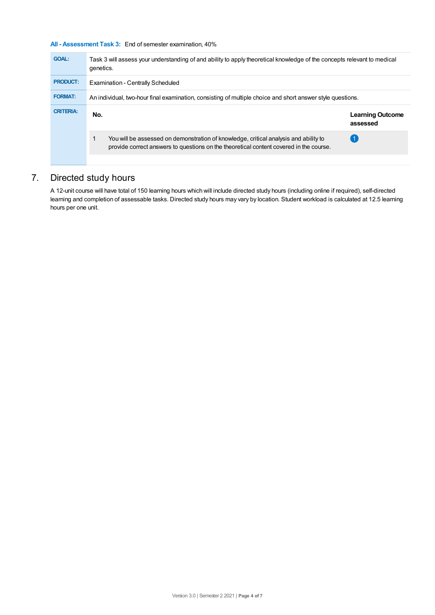## **All - Assessment Task 3:** End of semester examination, 40%

| <b>GOAL:</b>     | Task 3 will assess your understanding of and ability to apply theoretical knowledge of the concepts relevant to medical<br>genetics.                                           |                                     |  |  |  |
|------------------|--------------------------------------------------------------------------------------------------------------------------------------------------------------------------------|-------------------------------------|--|--|--|
| <b>PRODUCT:</b>  | Examination - Centrally Scheduled                                                                                                                                              |                                     |  |  |  |
| <b>FORMAT:</b>   | An individual, two-hour final examination, consisting of multiple choice and short answer style questions.                                                                     |                                     |  |  |  |
| <b>CRITERIA:</b> | No.                                                                                                                                                                            | <b>Learning Outcome</b><br>assessed |  |  |  |
|                  | You will be assessed on demonstration of knowledge, critical analysis and ability to<br>provide correct answers to questions on the theoretical content covered in the course. |                                     |  |  |  |
|                  |                                                                                                                                                                                |                                     |  |  |  |

# 7. Directed study hours

A 12-unit course will have total of 150 learning hours which will include directed study hours (including online if required), self-directed learning and completion of assessable tasks. Directed study hours may vary by location. Student workload is calculated at 12.5 learning hours per one unit.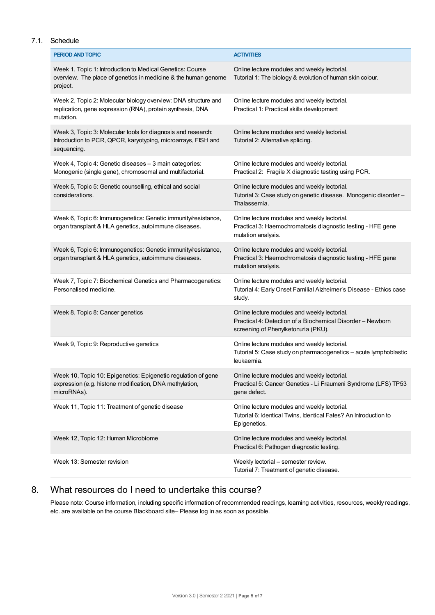## 7.1. Schedule

| <b>PERIOD AND TOPIC</b>                                                                                                                      | <b>ACTIVITIES</b>                                                                                                                                 |
|----------------------------------------------------------------------------------------------------------------------------------------------|---------------------------------------------------------------------------------------------------------------------------------------------------|
| Week 1, Topic 1: Introduction to Medical Genetics: Course<br>overview. The place of genetics in medicine & the human genome<br>project.      | Online lecture modules and weekly lectorial.<br>Tutorial 1: The biology & evolution of human skin colour.                                         |
| Week 2, Topic 2: Molecular biology overview: DNA structure and<br>replication, gene expression (RNA), protein synthesis, DNA<br>mutation.    | Online lecture modules and weekly lectorial.<br>Practical 1: Practical skills development                                                         |
| Week 3, Topic 3: Molecular tools for diagnosis and research:<br>Introduction to PCR, QPCR, karyotyping, microarrays, FISH and<br>sequencing. | Online lecture modules and weekly lectorial.<br>Tutorial 2: Alternative splicing.                                                                 |
| Week 4, Topic 4: Genetic diseases - 3 main categories:<br>Monogenic (single gene), chromosomal and multifactorial.                           | Online lecture modules and weekly lectorial.<br>Practical 2: Fragile X diagnostic testing using PCR.                                              |
| Week 5, Topic 5: Genetic counselling, ethical and social<br>considerations.                                                                  | Online lecture modules and weekly lectorial.<br>Tutorial 3: Case study on genetic disease. Monogenic disorder -<br>Thalassemia.                   |
| Week 6, Topic 6: Immunogenetics: Genetic immunity/resistance,<br>organ transplant & HLA genetics, autoimmune diseases.                       | Online lecture modules and weekly lectorial.<br>Practical 3: Haemochromatosis diagnostic testing - HFE gene<br>mutation analysis.                 |
| Week 6, Topic 6: Immunogenetics: Genetic immunity/resistance,<br>organ transplant & HLA genetics, autoimmune diseases.                       | Online lecture modules and weekly lectorial.<br>Practical 3: Haemochromatosis diagnostic testing - HFE gene<br>mutation analysis.                 |
| Week 7, Topic 7: Biochemical Genetics and Pharmacogenetics:<br>Personalised medicine.                                                        | Online lecture modules and weekly lectorial.<br>Tutorial 4: Early Onset Familial Alzheimer's Disease - Ethics case<br>study.                      |
| Week 8, Topic 8: Cancer genetics                                                                                                             | Online lecture modules and weekly lectorial.<br>Practical 4: Detection of a Biochemical Disorder - Newborn<br>screening of Phenylketonuria (PKU). |
| Week 9, Topic 9: Reproductive genetics                                                                                                       | Online lecture modules and weekly lectorial.<br>Tutorial 5: Case study on pharmacogenetics - acute lymphoblastic<br>leukaemia.                    |
| Week 10, Topic 10: Epigenetics: Epigenetic regulation of gene<br>expression (e.g. histone modification, DNA methylation,<br>microRNAs).      | Online lecture modules and weekly lectorial.<br>Practical 5: Cancer Genetics - Li Fraumeni Syndrome (LFS) TP53<br>gene defect.                    |
| Week 11, Topic 11: Treatment of genetic disease                                                                                              | Online lecture modules and weekly lectorial.<br>Tutorial 6: Identical Twins, Identical Fates? An Introduction to<br>Epigenetics.                  |
| Week 12, Topic 12: Human Microbiome                                                                                                          | Online lecture modules and weekly lectorial.<br>Practical 6: Pathogen diagnostic testing.                                                         |
| Week 13: Semester revision                                                                                                                   | Weekly lectorial - semester review.<br>Tutorial 7: Treatment of genetic disease.                                                                  |

# 8. What resources do I need to undertake this course?

Please note: Course information, including specific information of recommended readings, learning activities, resources, weekly readings, etc. are available on the course Blackboard site– Please log in as soon as possible.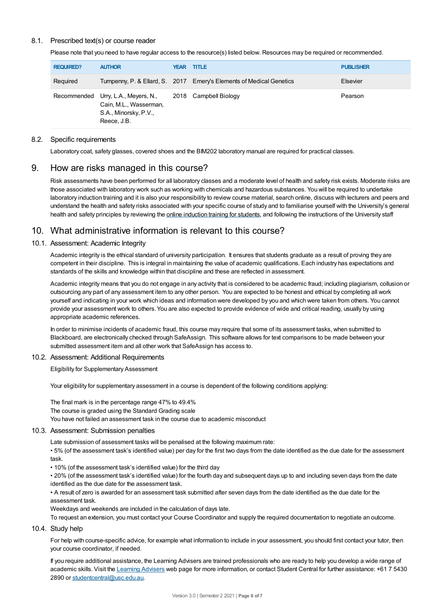## 8.1. Prescribed text(s) or course reader

Please note that you need to have regular access to the resource(s) listed below. Resources may be required or recommended.

| <b>REQUIRED?</b> | <b>AUTHOR</b>                                                                                                               | <b>YEAR TITLE</b>                                                    | <b>PUBLISHER</b> |
|------------------|-----------------------------------------------------------------------------------------------------------------------------|----------------------------------------------------------------------|------------------|
| Required         |                                                                                                                             | Turnpenny, P. & Ellard, S. 2017 Emery's Elements of Medical Genetics | Elsevier         |
|                  | Recommended Urry, L.A., Meyers, N., 2018 Campbell Biology<br>Cain, M.L., Wasserman,<br>S.A., Minorsky, P.V.,<br>Reece, J.B. |                                                                      | Pearson          |

#### 8.2. Specific requirements

Laboratory coat, safety glasses, covered shoes and the BIM202 laboratory manual are required for practical classes.

## 9. How are risks managed in this course?

Risk assessments have been performed for all laboratory classes and a moderate level of health and safety risk exists. Moderate risks are those associated with laboratory work such as working with chemicals and hazardous substances. You will be required to undertake laboratory induction training and it is also your responsibility to review course material, search online, discuss with lecturers and peers and understand the health and safety risks associated with your specific course of study and to familiarise yourself with the University's general health and safety principles by reviewing the online [induction](https://online.usc.edu.au/webapps/blackboard/content/listContentEditable.jsp?content_id=_632657_1&course_id=_14432_1) training for students, and following the instructions of the University staff

# 10. What administrative information is relevant to this course?

#### 10.1. Assessment: Academic Integrity

Academic integrity is the ethical standard of university participation. It ensures that students graduate as a result of proving they are competent in their discipline. This is integral in maintaining the value of academic qualifications. Each industry has expectations and standards of the skills and knowledge within that discipline and these are reflected in assessment.

Academic integrity means that you do not engage in any activity that is considered to be academic fraud; including plagiarism, collusion or outsourcing any part of any assessment item to any other person. You are expected to be honest and ethical by completing all work yourself and indicating in your work which ideas and information were developed by you and which were taken from others. You cannot provide your assessment work to others.You are also expected to provide evidence of wide and critical reading, usually by using appropriate academic references.

In order to minimise incidents of academic fraud, this course may require that some of its assessment tasks, when submitted to Blackboard, are electronically checked through SafeAssign. This software allows for text comparisons to be made between your submitted assessment item and all other work that SafeAssign has access to.

#### 10.2. Assessment: Additional Requirements

Eligibility for Supplementary Assessment

Your eligibility for supplementary assessment in a course is dependent of the following conditions applying:

The final mark is in the percentage range 47% to 49.4% The course is graded using the Standard Grading scale You have not failed an assessment task in the course due to academic misconduct

#### 10.3. Assessment: Submission penalties

Late submission of assessment tasks will be penalised at the following maximum rate:

• 5% (of the assessment task's identified value) per day for the first two days from the date identified as the due date for the assessment task.

• 10% (of the assessment task's identified value) for the third day

• 20% (of the assessment task's identified value) for the fourth day and subsequent days up to and including seven days from the date identified as the due date for the assessment task.

• A result of zero is awarded for an assessment task submitted after seven days from the date identified as the due date for the assessment task.

Weekdays and weekends are included in the calculation of days late.

To request an extension, you must contact your Course Coordinator and supply the required documentation to negotiate an outcome.

10.4. Study help

For help with course-specific advice, for example what information to include in your assessment, you should first contact your tutor, then your course coordinator, if needed.

If you require additional assistance, the Learning Advisers are trained professionals who are ready to help you develop a wide range of academic skills. Visit the Learning [Advisers](https://www.usc.edu.au/current-students/student-support/academic-and-study-support/learning-advisers) web page for more information, or contact Student Central for further assistance: +61 7 5430 2890 or [studentcentral@usc.edu.au](mailto:studentcentral@usc.edu.au).